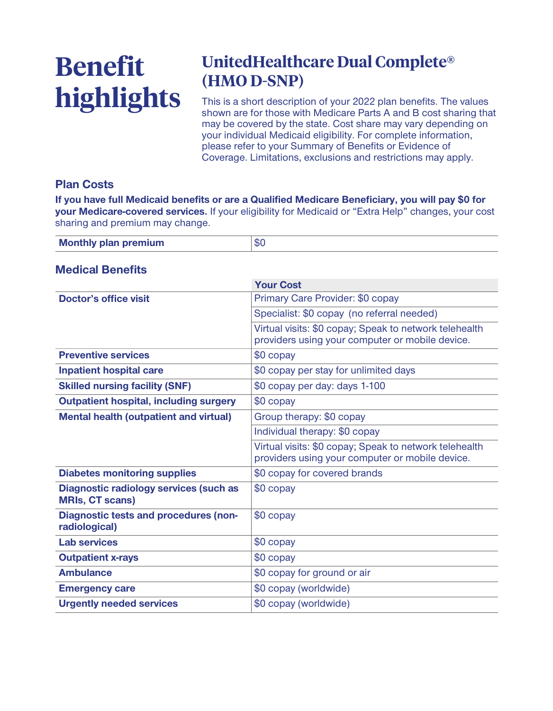# **Benefit highlights**

## **UnitedHealthcare Dual Complete® (HMO D-SNP)**

**This is a short description of your 2022 plan benefits. The values shown are for those with Medicare Parts A and B cost sharing that may be covered by the state. Cost share may vary depending on your individual Medicaid eligibility. For complete information, please refer to your Summary of Benefits or Evidence of Coverage. Limitations, exclusions and restrictions may apply.**

#### **Plan Costs**

**If you have full Medicaid benefits or are a Qualified Medicare Beneficiary, you will pay \$0 for your Medicare-covered services. If your eligibility for Medicaid or "Extra Help" changes, your cost sharing and premium may change.**

| <b>Monthly plan premium</b> | <b>SC</b> |
|-----------------------------|-----------|
|                             |           |

#### **Medical Benefits**

|                                                                  | <b>Your Cost</b>                                                                                          |
|------------------------------------------------------------------|-----------------------------------------------------------------------------------------------------------|
| Doctor's office visit                                            | Primary Care Provider: \$0 copay                                                                          |
|                                                                  | Specialist: \$0 copay (no referral needed)                                                                |
|                                                                  | Virtual visits: \$0 copay; Speak to network telehealth<br>providers using your computer or mobile device. |
| <b>Preventive services</b>                                       | \$0 copay                                                                                                 |
| <b>Inpatient hospital care</b>                                   | \$0 copay per stay for unlimited days                                                                     |
| <b>Skilled nursing facility (SNF)</b>                            | \$0 copay per day: days 1-100                                                                             |
| <b>Outpatient hospital, including surgery</b>                    | \$0 copay                                                                                                 |
| <b>Mental health (outpatient and virtual)</b>                    | Group therapy: \$0 copay                                                                                  |
|                                                                  | Individual therapy: \$0 copay                                                                             |
|                                                                  | Virtual visits: \$0 copay; Speak to network telehealth<br>providers using your computer or mobile device. |
| <b>Diabetes monitoring supplies</b>                              | \$0 copay for covered brands                                                                              |
| Diagnostic radiology services (such as<br><b>MRIs, CT scans)</b> | \$0 copay                                                                                                 |
| <b>Diagnostic tests and procedures (non-</b><br>radiological)    | \$0 copay                                                                                                 |
| <b>Lab services</b>                                              | \$0 copay                                                                                                 |
| <b>Outpatient x-rays</b>                                         | \$0 copay                                                                                                 |
| <b>Ambulance</b>                                                 | \$0 copay for ground or air                                                                               |
| <b>Emergency care</b>                                            | \$0 copay (worldwide)                                                                                     |
| <b>Urgently needed services</b>                                  | \$0 copay (worldwide)                                                                                     |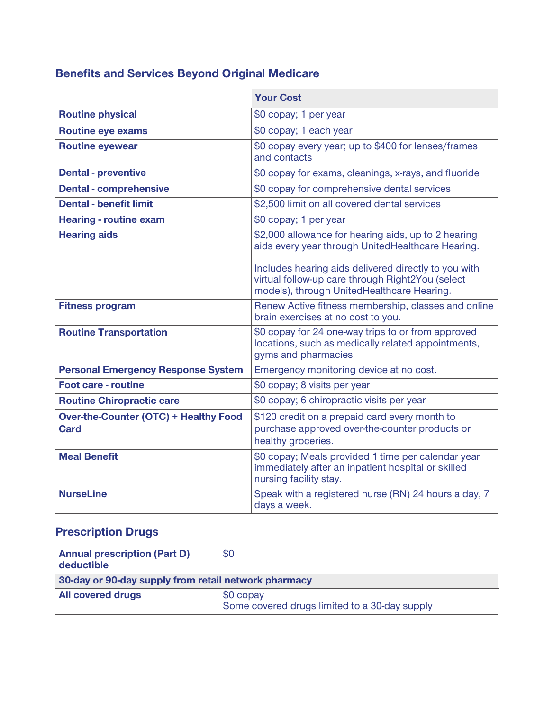## **Benefits and Services Beyond Original Medicare**

|                                                             | <b>Your Cost</b>                                                                                                                                       |
|-------------------------------------------------------------|--------------------------------------------------------------------------------------------------------------------------------------------------------|
| <b>Routine physical</b>                                     | \$0 copay; 1 per year                                                                                                                                  |
| <b>Routine eye exams</b>                                    | \$0 copay; 1 each year                                                                                                                                 |
| <b>Routine eyewear</b>                                      | \$0 copay every year; up to \$400 for lenses/frames<br>and contacts                                                                                    |
| <b>Dental - preventive</b>                                  | \$0 copay for exams, cleanings, x-rays, and fluoride                                                                                                   |
| <b>Dental - comprehensive</b>                               | \$0 copay for comprehensive dental services                                                                                                            |
| <b>Dental - benefit limit</b>                               | \$2,500 limit on all covered dental services                                                                                                           |
| <b>Hearing - routine exam</b>                               | \$0 copay; 1 per year                                                                                                                                  |
| <b>Hearing aids</b>                                         | \$2,000 allowance for hearing aids, up to 2 hearing<br>aids every year through UnitedHealthcare Hearing.                                               |
|                                                             | Includes hearing aids delivered directly to you with<br>virtual follow-up care through Right2You (select<br>models), through UnitedHealthcare Hearing. |
| <b>Fitness program</b>                                      | Renew Active fitness membership, classes and online<br>brain exercises at no cost to you.                                                              |
| <b>Routine Transportation</b>                               | \$0 copay for 24 one-way trips to or from approved<br>locations, such as medically related appointments,<br>gyms and pharmacies                        |
| <b>Personal Emergency Response System</b>                   | Emergency monitoring device at no cost.                                                                                                                |
| <b>Foot care - routine</b>                                  | \$0 copay; 8 visits per year                                                                                                                           |
| <b>Routine Chiropractic care</b>                            | \$0 copay; 6 chiropractic visits per year                                                                                                              |
| <b>Over-the-Counter (OTC) + Healthy Food</b><br><b>Card</b> | \$120 credit on a prepaid card every month to<br>purchase approved over-the-counter products or<br>healthy groceries.                                  |
| <b>Meal Benefit</b>                                         | \$0 copay; Meals provided 1 time per calendar year<br>immediately after an inpatient hospital or skilled<br>nursing facility stay.                     |
| <b>NurseLine</b>                                            | Speak with a registered nurse (RN) 24 hours a day, 7<br>days a week.                                                                                   |

### **Prescription Drugs**

| <b>Annual prescription (Part D)</b><br>deductible    | \$0                                                        |  |
|------------------------------------------------------|------------------------------------------------------------|--|
| 30-day or 90-day supply from retail network pharmacy |                                                            |  |
| <b>All covered drugs</b>                             | \$0 copay<br>Some covered drugs limited to a 30-day supply |  |